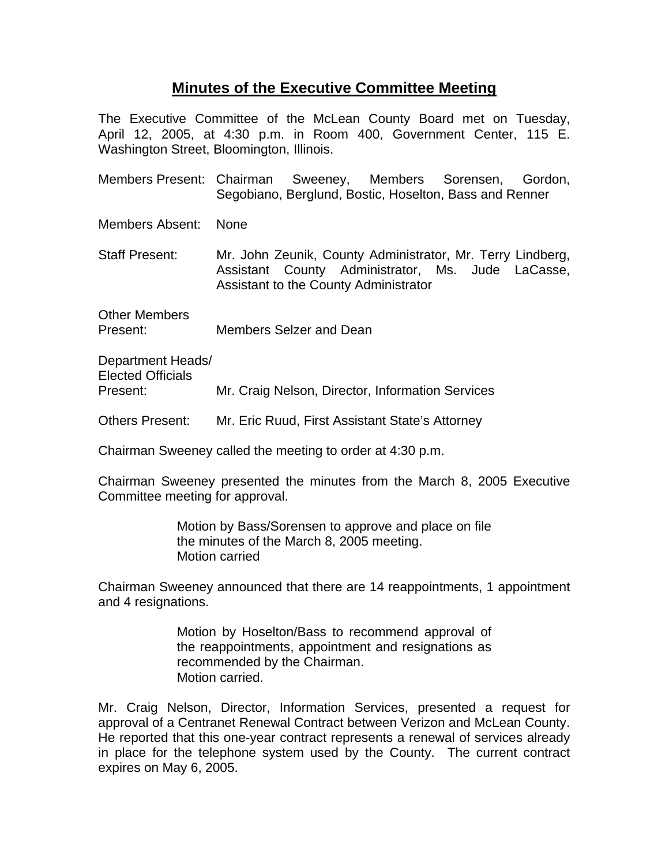## **Minutes of the Executive Committee Meeting**

The Executive Committee of the McLean County Board met on Tuesday, April 12, 2005, at 4:30 p.m. in Room 400, Government Center, 115 E. Washington Street, Bloomington, Illinois.

Members Present: Chairman Sweeney, Members Sorensen, Gordon, Segobiano, Berglund, Bostic, Hoselton, Bass and Renner

Members Absent: None

Staff Present: Mr. John Zeunik, County Administrator, Mr. Terry Lindberg, Assistant County Administrator, Ms. Jude LaCasse, Assistant to the County Administrator

Other Members Present: Members Selzer and Dean

Department Heads/ Elected Officials Present: Mr. Craig Nelson, Director, Information Services

Others Present: Mr. Eric Ruud, First Assistant State's Attorney

Chairman Sweeney called the meeting to order at 4:30 p.m.

Chairman Sweeney presented the minutes from the March 8, 2005 Executive Committee meeting for approval.

> Motion by Bass/Sorensen to approve and place on file the minutes of the March 8, 2005 meeting. Motion carried

Chairman Sweeney announced that there are 14 reappointments, 1 appointment and 4 resignations.

> Motion by Hoselton/Bass to recommend approval of the reappointments, appointment and resignations as recommended by the Chairman. Motion carried.

Mr. Craig Nelson, Director, Information Services, presented a request for approval of a Centranet Renewal Contract between Verizon and McLean County. He reported that this one-year contract represents a renewal of services already in place for the telephone system used by the County. The current contract expires on May 6, 2005.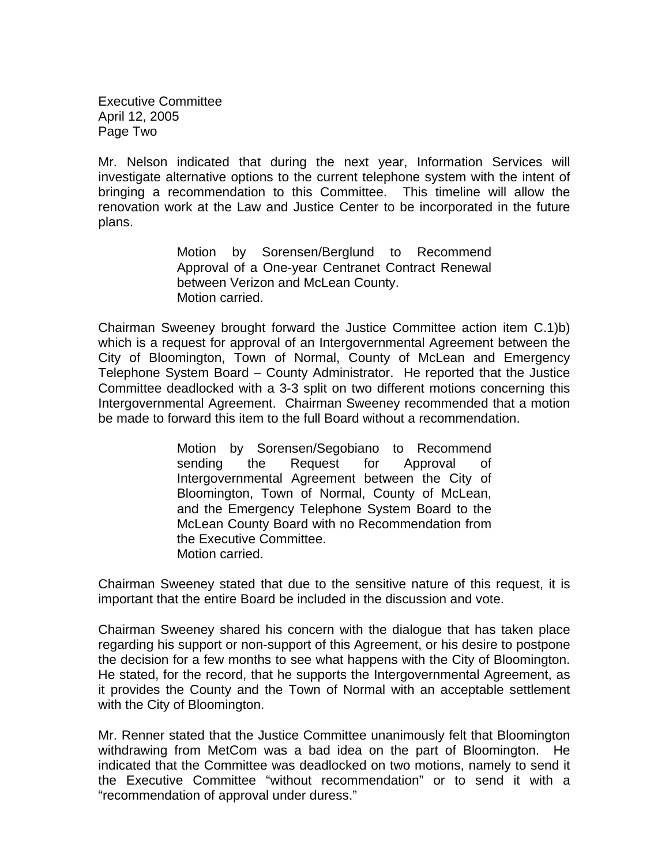Executive Committee April 12, 2005 Page Two

Mr. Nelson indicated that during the next year, Information Services will investigate alternative options to the current telephone system with the intent of bringing a recommendation to this Committee. This timeline will allow the renovation work at the Law and Justice Center to be incorporated in the future plans.

> Motion by Sorensen/Berglund to Recommend Approval of a One-year Centranet Contract Renewal between Verizon and McLean County. Motion carried.

Chairman Sweeney brought forward the Justice Committee action item C.1)b) which is a request for approval of an Intergovernmental Agreement between the City of Bloomington, Town of Normal, County of McLean and Emergency Telephone System Board – County Administrator. He reported that the Justice Committee deadlocked with a 3-3 split on two different motions concerning this Intergovernmental Agreement. Chairman Sweeney recommended that a motion be made to forward this item to the full Board without a recommendation.

> Motion by Sorensen/Segobiano to Recommend sending the Request for Approval of Intergovernmental Agreement between the City of Bloomington, Town of Normal, County of McLean, and the Emergency Telephone System Board to the McLean County Board with no Recommendation from the Executive Committee. Motion carried.

Chairman Sweeney stated that due to the sensitive nature of this request, it is important that the entire Board be included in the discussion and vote.

Chairman Sweeney shared his concern with the dialogue that has taken place regarding his support or non-support of this Agreement, or his desire to postpone the decision for a few months to see what happens with the City of Bloomington. He stated, for the record, that he supports the Intergovernmental Agreement, as it provides the County and the Town of Normal with an acceptable settlement with the City of Bloomington.

Mr. Renner stated that the Justice Committee unanimously felt that Bloomington withdrawing from MetCom was a bad idea on the part of Bloomington. He indicated that the Committee was deadlocked on two motions, namely to send it the Executive Committee "without recommendation" or to send it with a "recommendation of approval under duress."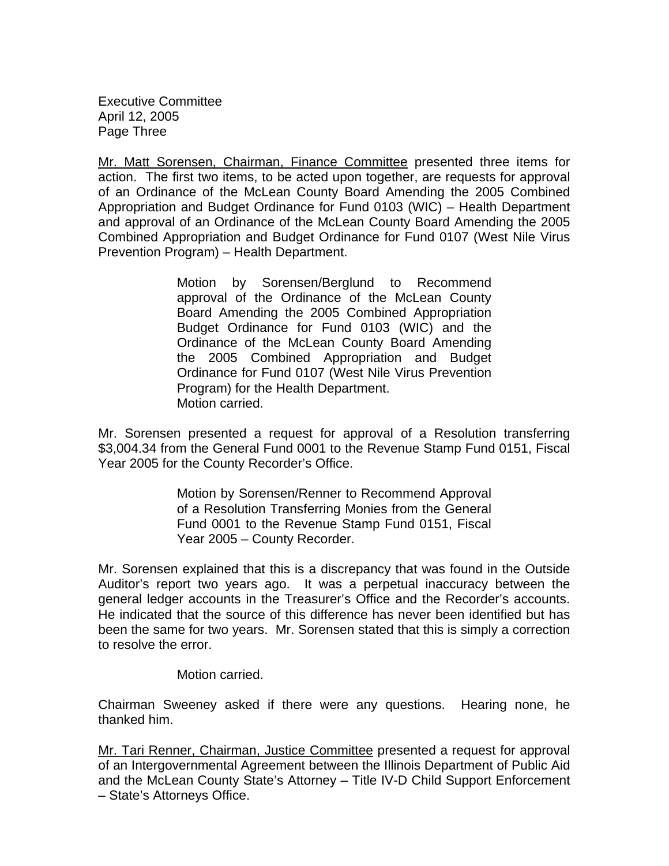Executive Committee April 12, 2005 Page Three

Mr. Matt Sorensen, Chairman, Finance Committee presented three items for action. The first two items, to be acted upon together, are requests for approval of an Ordinance of the McLean County Board Amending the 2005 Combined Appropriation and Budget Ordinance for Fund 0103 (WIC) – Health Department and approval of an Ordinance of the McLean County Board Amending the 2005 Combined Appropriation and Budget Ordinance for Fund 0107 (West Nile Virus Prevention Program) – Health Department.

> Motion by Sorensen/Berglund to Recommend approval of the Ordinance of the McLean County Board Amending the 2005 Combined Appropriation Budget Ordinance for Fund 0103 (WIC) and the Ordinance of the McLean County Board Amending the 2005 Combined Appropriation and Budget Ordinance for Fund 0107 (West Nile Virus Prevention Program) for the Health Department. Motion carried.

Mr. Sorensen presented a request for approval of a Resolution transferring \$3,004.34 from the General Fund 0001 to the Revenue Stamp Fund 0151, Fiscal Year 2005 for the County Recorder's Office.

> Motion by Sorensen/Renner to Recommend Approval of a Resolution Transferring Monies from the General Fund 0001 to the Revenue Stamp Fund 0151, Fiscal Year 2005 – County Recorder.

Mr. Sorensen explained that this is a discrepancy that was found in the Outside Auditor's report two years ago. It was a perpetual inaccuracy between the general ledger accounts in the Treasurer's Office and the Recorder's accounts. He indicated that the source of this difference has never been identified but has been the same for two years. Mr. Sorensen stated that this is simply a correction to resolve the error.

Motion carried.

Chairman Sweeney asked if there were any questions. Hearing none, he thanked him.

Mr. Tari Renner, Chairman, Justice Committee presented a request for approval of an Intergovernmental Agreement between the Illinois Department of Public Aid and the McLean County State's Attorney – Title IV-D Child Support Enforcement – State's Attorneys Office.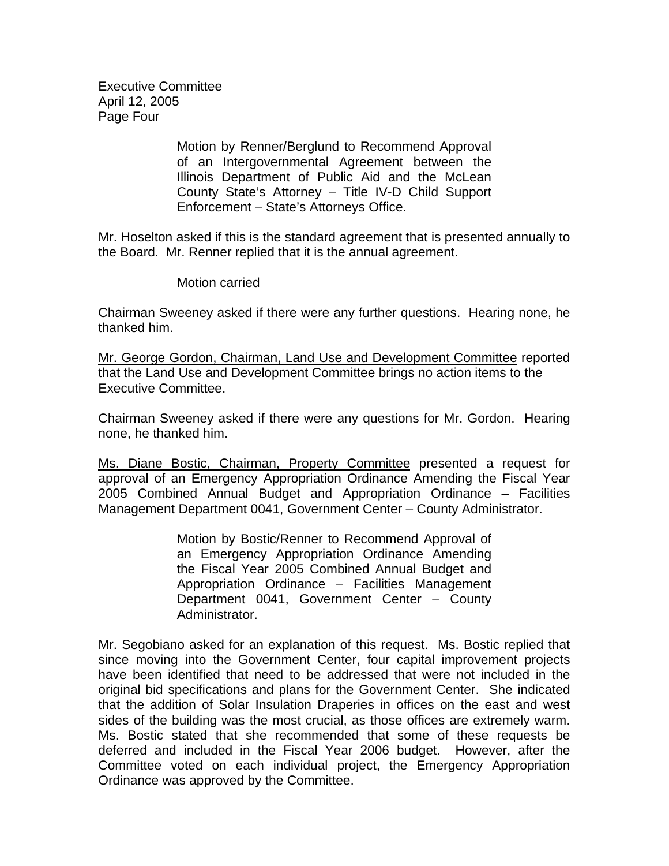Executive Committee April 12, 2005 Page Four

> Motion by Renner/Berglund to Recommend Approval of an Intergovernmental Agreement between the Illinois Department of Public Aid and the McLean County State's Attorney – Title IV-D Child Support Enforcement – State's Attorneys Office.

Mr. Hoselton asked if this is the standard agreement that is presented annually to the Board. Mr. Renner replied that it is the annual agreement.

Motion carried

Chairman Sweeney asked if there were any further questions. Hearing none, he thanked him.

Mr. George Gordon, Chairman, Land Use and Development Committee reported that the Land Use and Development Committee brings no action items to the Executive Committee.

Chairman Sweeney asked if there were any questions for Mr. Gordon. Hearing none, he thanked him.

Ms. Diane Bostic, Chairman, Property Committee presented a request for approval of an Emergency Appropriation Ordinance Amending the Fiscal Year 2005 Combined Annual Budget and Appropriation Ordinance – Facilities Management Department 0041, Government Center – County Administrator.

> Motion by Bostic/Renner to Recommend Approval of an Emergency Appropriation Ordinance Amending the Fiscal Year 2005 Combined Annual Budget and Appropriation Ordinance – Facilities Management Department 0041, Government Center – County Administrator.

Mr. Segobiano asked for an explanation of this request. Ms. Bostic replied that since moving into the Government Center, four capital improvement projects have been identified that need to be addressed that were not included in the original bid specifications and plans for the Government Center. She indicated that the addition of Solar Insulation Draperies in offices on the east and west sides of the building was the most crucial, as those offices are extremely warm. Ms. Bostic stated that she recommended that some of these requests be deferred and included in the Fiscal Year 2006 budget. However, after the Committee voted on each individual project, the Emergency Appropriation Ordinance was approved by the Committee.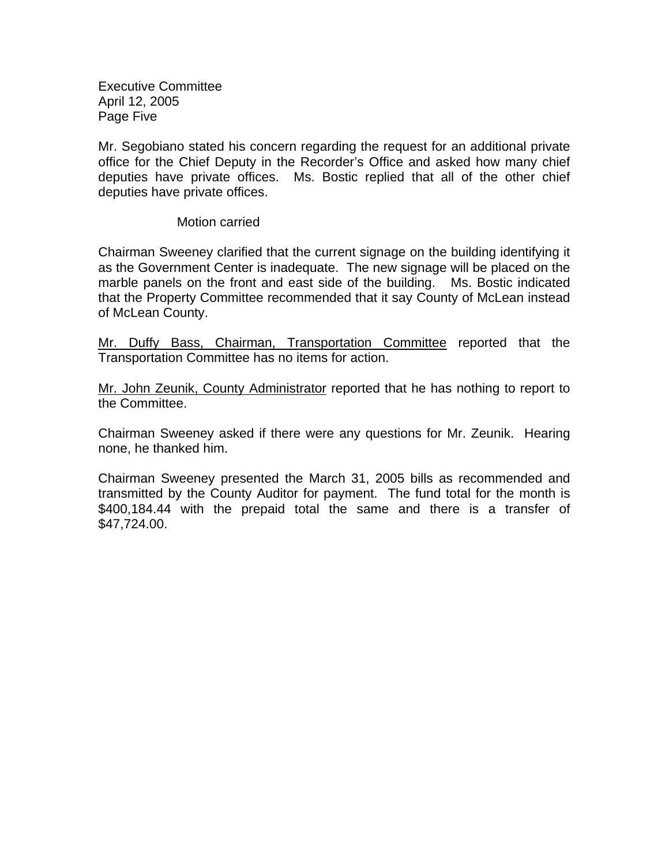Executive Committee April 12, 2005 Page Five

Mr. Segobiano stated his concern regarding the request for an additional private office for the Chief Deputy in the Recorder's Office and asked how many chief deputies have private offices. Ms. Bostic replied that all of the other chief deputies have private offices.

Motion carried

Chairman Sweeney clarified that the current signage on the building identifying it as the Government Center is inadequate. The new signage will be placed on the marble panels on the front and east side of the building. Ms. Bostic indicated that the Property Committee recommended that it say County of McLean instead of McLean County.

Mr. Duffy Bass, Chairman, Transportation Committee reported that the Transportation Committee has no items for action.

Mr. John Zeunik, County Administrator reported that he has nothing to report to the Committee.

Chairman Sweeney asked if there were any questions for Mr. Zeunik. Hearing none, he thanked him.

Chairman Sweeney presented the March 31, 2005 bills as recommended and transmitted by the County Auditor for payment. The fund total for the month is \$400,184.44 with the prepaid total the same and there is a transfer of \$47,724.00.